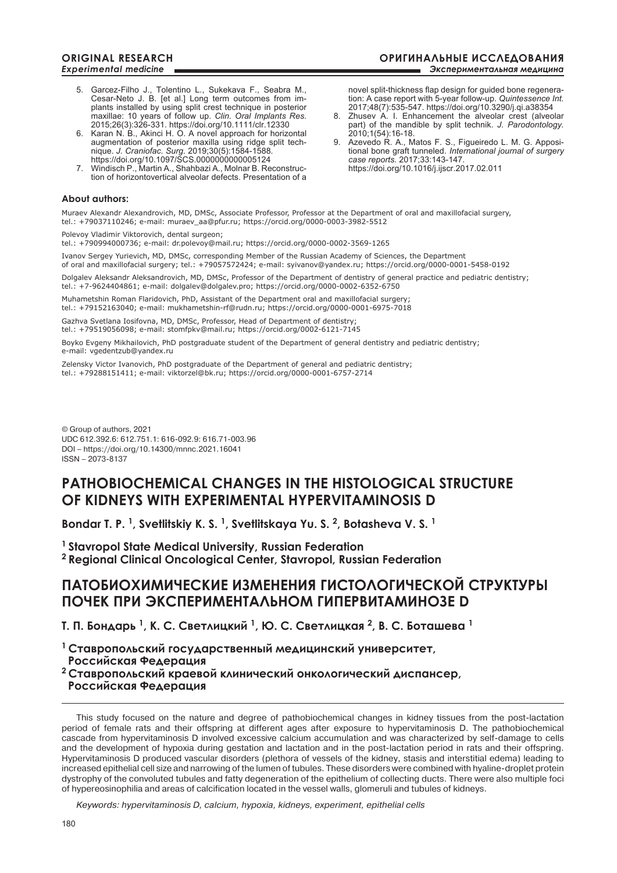novel split-thickness flap design for guided bone regeneration: A case report with 5-year follow-up. *Quintessence Int.* 2017;48(7):535-547. https://doi.org/10.3290/j.qi.a38354 8. Zhusev A. I. Enhancement the alveolar crest (alveolar part) of the mandible by split technik. *J. Parodontology.* 

9. Azevedo R. A., Matos F. S., Figueiredo L. M. G. Appositional bone graft tunneled. *International journal of surgery* 

2010;1(54):16-18.

*case reports.* 2017;33:143-147. https://doi.org/10.1016/j.ijscr.2017.02.011

- 5. Garcez-Filho J., Tolentino L., Sukekava F., Seabra M., Cesar-Neto J. B. [et al.] Long term outcomes from implants installed by using split crest technique in posterior maxillae: 10 years of follow up. *Clin. Oral Implants Res*. 2015;26(3):326-331. https://doi.org/10.1111/clr.12330
- 6. Karan N. B., Akinci H. O. A novel approach for horizontal augmentation of posterior maxilla using ridge split technique. *J. Craniofac. Surg.* 2019;30(5):1584-1588. https://doi.org/10.1097/SCS.0000000000005124
- 7. Windisch P., Martin A., Shahbazi A., Molnar B. Reconstruction of horizontovertical alveolar defects. Presentation of a

### **About authors:**

Muraev Alexandr Alexandrovich, MD, DMSc, Associate Professor, professor at the department of oral and maxillofacial surgery, tel.: +79037110246; e-mail: muraev\_aa@pfur.ru; https://orcid.org/0000-0003-3982-5512

Polevoy Vladimir Viktorovich, dental surgeon;

tel.: +790994000736; e-mail: dr.polevoy@mail.ru; https://orcid.org/0000-0002-3569-1265

Ivanov Sergey Yurievich, MD, DMSc, corresponding Member of the Russian Academy of Sciences, the department of oral and maxillofacial surgery; tel.: +79057572424; e-mail: syivanov@yandex.ru; https://orcid.org/0000-0001-5458-0192

Dolgalev Aleksandr Aleksandrovich, MD, DMSc, professor of the Department of dentistry of general practice and pediatric dentistry; tel.: +7-9624404861; e-mail: dolgalev@dolgalev.pro; https://orcid.org/0000-0002-6352-6750

Muhametshin Roman Flaridovich, PhD, Assistant of the Department oral and maxillofacial surgery;

tel.: +79152163040; e-mail: mukhametshin-rf@rudn.ru; https://orcid.org/0000-0001-6975-7018

Gazhva Svetlana Iosifovna, MD, DMSc, Professor, Head of Department of dentistry; tel.: +79519056098; e-mail: stomfpkv@mail.ru; https://orcid.org/0002-6121-7145

Boyko Evgeny Mikhailovich, PhD postgraduate student of the Department of general dentistry and pediatric dentistry; e-mail: vgedentzub@yandex.ru

Zelensky Victor Ivanovich, PhD postgraduate of the Department of general and pediatric dentistry; tel.: +79288151411; e-mail: viktorzel@bk.ru; https://orcid.org/0000-0001-6757-2714

© Group of authors, 2021 UDC 612.392.6: 612.751.1: 616-092.9: 616.71-003.96 DOI – https://doi.org/10.14300/mnnc.2021.16041 ISSN – 2073-8137

# **PATHOBIOCHEMICAL CHANGES IN THE HISTOLOGICAL STRUCTURE OF KIDNEYS WITH EXPERIMENTAL HYPERVITAMINOSIS D**

**Bondar T. P. 1, Svetlitskiy K. S. 1, Svetlitskaya Yu. S. 2, Botasheva V. S. 1**

**1 Stavropol State Medical University, Russian Federation 2 Regional Clinical Oncological Center, Stavropol, Russian Federation**

# **ПАТОБИОХИМИЧЕСКИЕ ИЗМЕНЕНИЯ ГИСТОЛОГИЧЕСКОЙ СТРУКТУРЫ ПОЧЕК ПРИ ЭКСПЕРИМЕНТАЛЬНОМ ГИПЕРВИТАМИНОЗЕ D**

**Т. П. Бондарь <sup>1</sup>, К. С. Светлицкий <sup>1</sup>, Ю. С. Светлицкая <sup>2</sup>, В. С. Боташева <sup>1</sup>**

**<sup>1</sup>Ставропольский государственный медицинский университет, Российская Федерация**

**<sup>2</sup>Ставропольский краевой клинический онкологический диспансер, Российская Федерация**

This study focused on the nature and degree of pathobiochemical changes in kidney tissues from the post-lactation period of female rats and their offspring at different ages after exposure to hypervitaminosis D. The pathobiochemical cascade from hypervitaminosis D involved excessive calcium accumulation and was characterized by self-damage to cells and the development of hypoxia during gestation and lactation and in the post-lactation period in rats and their offspring. Hypervitaminosis D produced vascular disorders (plethora of vessels of the kidney, stasis and interstitial edema) leading to increased epithelial cell size and narrowing of the lumen of tubules. These disorders were combined with hyaline-droplet protein dystrophy of the convoluted tubules and fatty degeneration of the epithelium of collecting ducts. There were also multiple foci of hypereosinophilia and areas of calcification located in the vessel walls, glomeruli and tubules of kidneys.

*Keywords: hypervitaminosis D, calcium, hypoxia, kidneys, experiment, epithelial cells*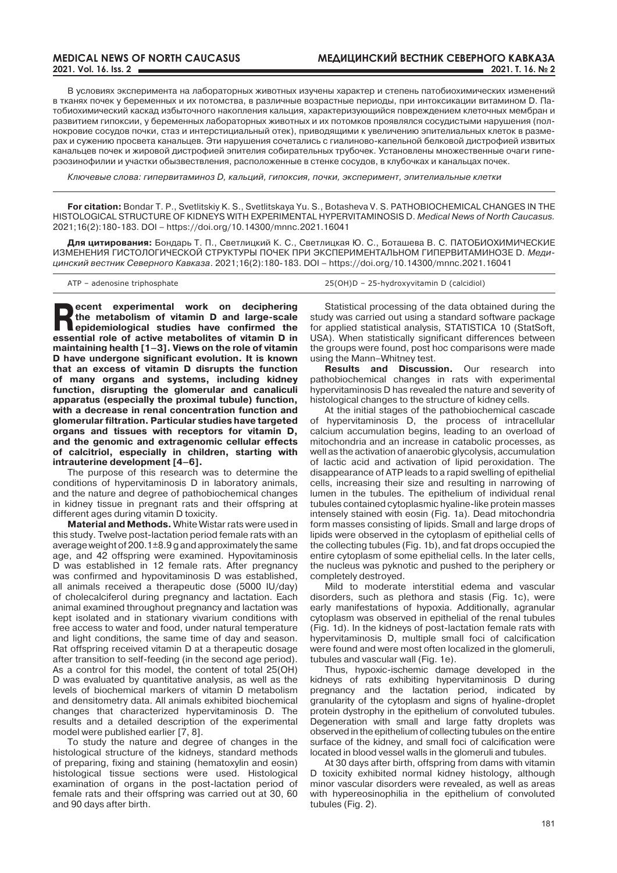В условиях эксперимента на лабораторных животных изучены характер и степень патобиохимических изменений в тканях почек у беременных и их потомства, в различные возрастные периоды, при интоксикации витамином D. Патобиохимический каскад избыточного накопления кальция, характеризующийся повреждением клеточных мембран и развитием гипоксии, у беременных лабораторных животных и их потомков проявлялся сосудистыми нарушения (полнокровие сосудов почки, стаз и интерстициальный отек), приводящими к увеличению эпителиальных клеток в размерах и сужению просвета канальцев. Эти нарушения сочетались с гиалиново-капельной белковой дистрофией извитых канальцев почек и жировой дистрофией эпителия собирательных трубочек. Установлены множественные очаги гиперэозинофилии и участки обызвествления, расположенные в стенке сосудов, в клубочках и канальцах почек.

*Ключевые слова: гипервитаминоз D, кальций, гипоксия, почки, эксперимент, эпителиальные клетки*

**For citation:** Bondar T. P., Svetlitskiy K. S., Svetlitskaya Yu. S., Botasheva V. S. PATHOBIOCHEMICAL CHANGES IN THE HISTOLOGICAL STRUCTURE OF KIDNEYS WITH EXPERIMENTAL HYPERVITAMINOSIS D. *Medical News of North Caucasus.*  2021;16(2):180-183. DOI – https://doi.org/10.14300/mnnc.2021.16041

**Для цитирования:** Бондарь Т. П., Светлицкий К. С., Светлицкая Ю. С., Боташева В. С. ПАТОБИОХИМИЧЕСКИЕ ИЗМЕНЕНИЯ ГИСТОЛОГИЧЕСКОЙ СТРУКТУРЫ ПОЧЕК ПРИ ЭКСПЕРИМЕНТАЛЬНОМ ГИПЕРВИТАМИНОЗЕ D. *Медицинский вестник Северного Кавказа*. 2021;16(2):180-183. DOI – https://doi.org/10.14300/mnnc.2021.16041

ATP – adenosine triphosphate 25(OH)D – 25-hydroxyvitamin D (calcidiol)

**Recent experimental work on deciphering**<br> **epidemiological studies have confirmed the proprietive of studies of studies the metabolism of vitamin D and large-scale essential role of active metabolites of vitamin D in maintaining health [1–3]. Views on the role of vitamin D have undergone significant evolution. It is known that an excess of vitamin D disrupts the function of many organs and systems, including kidney function, disrupting the glomerular and canaliculi apparatus (especially the proximal tubule) function, with a decrease in renal concentration function and glomerular filtration. Particular studies have targeted organs and tissues with receptors for vitamin D, and the genomic and extragenomic cellular effects of calcitriol, especially in children, starting with intrauterine development [4–6].** 

The purpose of this research was to determine the conditions of hypervitaminosis D in laboratory animals, and the nature and degree of pathobiochemical changes in kidney tissue in pregnant rats and their offspring at different ages during vitamin D toxicity.

**Material and methods.** White Wistar rats were used in this study. Twelve post-lactation period female rats with an average weight of 200.1±8.9 g and approximately the same age, and 42 offspring were examined. Hypovitaminosis D was established in 12 female rats. After pregnancy was confirmed and hypovitaminosis D was established, all animals received a therapeutic dose (5000 IU/day) of cholecalciferol during pregnancy and lactation. Each animal examined throughout pregnancy and lactation was kept isolated and in stationary vivarium conditions with free access to water and food, under natural temperature and light conditions, the same time of day and season. Rat offspring received vitamin D at a therapeutic dosage after transition to self-feeding (in the second age period). As a control for this model, the content of total 25(OH) D was evaluated by quantitative analysis, as well as the levels of biochemical markers of vitamin D metabolism and densitometry data. All animals exhibited biochemical changes that characterized hypervitaminosis D. The results and a detailed description of the experimental model were published earlier [7, 8].

To study the nature and degree of changes in the histological structure of the kidneys, standard methods of preparing, fixing and staining (hematoxylin and eosin) histological tissue sections were used. Histological examination of organs in the post-lactation period of female rats and their offspring was carried out at 30, 60 and 90 days after birth.

Statistical processing of the data obtained during the study was carried out using a standard software package for applied statistical analysis, STATISTICA 10 (StatSoft, USA). When statistically significant differences between the groups were found, post hoc comparisons were made using the Mann–Whitney test.

**Results and Discussion.** Our research into pathobiochemical changes in rats with experimental hypervitaminosis D has revealed the nature and severity of histological changes to the structure of kidney cells.

At the initial stages of the pathobiochemical cascade of hypervitaminosis D, the process of intracellular calcium accumulation begins, leading to an overload of mitochondria and an increase in catabolic processes, as well as the activation of anaerobic glycolysis, accumulation of lactic acid and activation of lipid peroxidation. The disappearance of ATP leads to a rapid swelling of epithelial cells, increasing their size and resulting in narrowing of lumen in the tubules. The epithelium of individual renal tubules contained cytoplasmic hyaline-like protein masses intensely stained with eosin (Fig. 1a). Dead mitochondria form masses consisting of lipids. Small and large drops of lipids were observed in the cytoplasm of epithelial cells of the collecting tubules (Fig. 1b), and fat drops occupied the entire cytoplasm of some epithelial cells. In the later cells, the nucleus was pyknotic and pushed to the periphery or completely destroyed.

Mild to moderate interstitial edema and vascular disorders, such as plethora and stasis (Fig. 1c), were early manifestations of hypoxia. Additionally, agranular cytoplasm was observed in epithelial of the renal tubules (Fig. 1d). In the kidneys of post-lactation female rats with hypervitaminosis D, multiple small foci of calcification were found and were most often localized in the glomeruli, tubules and vascular wall (Fig. 1e).

Thus, hypoxic-ischemic damage developed in the kidneys of rats exhibiting hypervitaminosis D during pregnancy and the lactation period, indicated by granularity of the cytoplasm and signs of hyaline-droplet protein dystrophy in the epithelium of convoluted tubules. Degeneration with small and large fatty droplets was observed in the epithelium of collecting tubules on the entire surface of the kidney, and small foci of calcification were located in blood vessel walls in the glomeruli and tubules.

At 30 days after birth, offspring from dams with vitamin D toxicity exhibited normal kidney histology, although minor vascular disorders were revealed, as well as areas with hypereosinophilia in the epithelium of convoluted tubules (Fig. 2).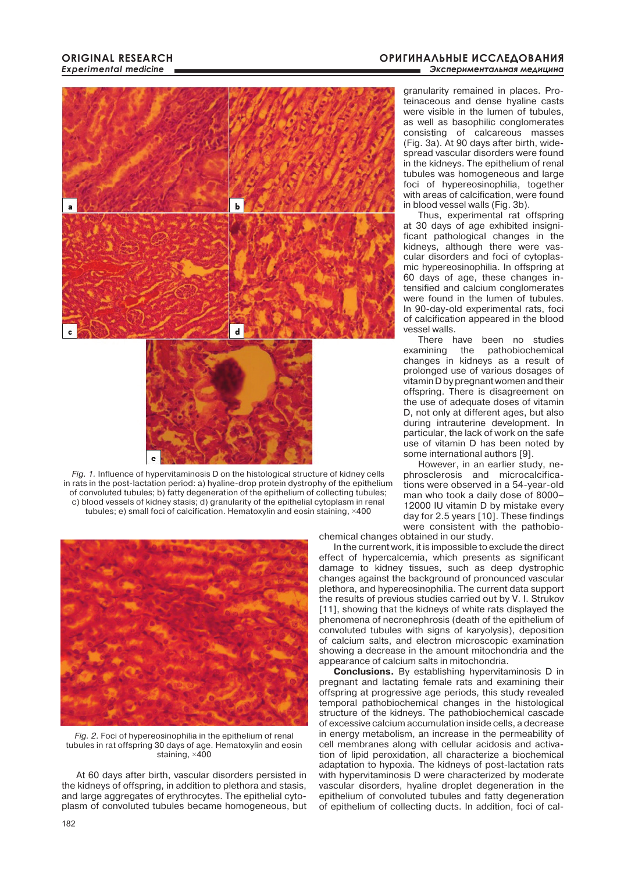#### **ОРИГИНАЛЬНЫЕ ИССЛЕДОВАНИЯ** Экспериментальная медицина



*fig. 1.* Influence of hypervitaminosis D on the histological structure of kidney cells in rats in the post-lactation period: a) hyaline-drop protein dystrophy of the epithelium of convoluted tubules; b) fatty degeneration of the epithelium of collecting tubules; c) blood vessels of kidney stasis; d) granularity of the epithelial cytoplasm in renal tubules; e) small foci of calcification. Hematoxylin and eosin staining, ×400



*fig. 2*. Foci of hypereosinophilia in the epithelium of renal tubules in rat offspring 30 days of age. Hematoxylin and eosin staining, ×400

At 60 days after birth, vascular disorders persisted in the kidneys of offspring, in addition to plethora and stasis, and large aggregates of erythrocytes. The epithelial cytoplasm of convoluted tubules became homogeneous, but granularity remained in places. Proteinaceous and dense hyaline casts were visible in the lumen of tubules, as well as basophilic conglomerates consisting of calcareous masses (Fig. 3a). At 90 days after birth, widespread vascular disorders were found in the kidneys. The epithelium of renal tubules was homogeneous and large foci of hypereosinophilia, together with areas of calcification, were found in blood vessel walls (Fig. 3b).

Thus, experimental rat offspring at 30 days of age exhibited insignificant pathological changes in the kidneys, although there were vascular disorders and foci of cytoplasmic hypereosinophilia. In offspring at 60 days of age, these changes intensified and calcium conglomerates were found in the lumen of tubules. In 90-day-old experimental rats, foci of calcification appeared in the blood vessel walls.

There have been no studies examining the pathobiochemical changes in kidneys as a result of prolonged use of various dosages of vitamin D by pregnant women and their offspring. There is disagreement on the use of adequate doses of vitamin D, not only at different ages, but also during intrauterine development. In particular, the lack of work on the safe use of vitamin D has been noted by some international authors [9].

However, in an earlier study, nephrosclerosis and microcalcifications were observed in a 54-year-old man who took a daily dose of 8000– 12000 IU vitamin D by mistake every day for 2.5 years [10]. These findings were consistent with the pathobio-

chemical changes obtained in our study.

In the current work, it is impossible to exclude the direct effect of hypercalcemia, which presents as significant damage to kidney tissues, such as deep dystrophic changes against the background of pronounced vascular plethora, and hypereosinophilia. The current data support the results of previous studies carried out by V. I. Strukov [11], showing that the kidneys of white rats displayed the phenomena of necronephrosis (death of the epithelium of convoluted tubules with signs of karyolysis), deposition of calcium salts, and electron microscopic examination showing a decrease in the amount mitochondria and the appearance of calcium salts in mitochondria.

**Conclusions.** By establishing hypervitaminosis D in pregnant and lactating female rats and examining their offspring at progressive age periods, this study revealed temporal pathobiochemical changes in the histological structure of the kidneys. The pathobiochemical cascade of excessive calcium accumulation inside cells, a decrease in energy metabolism, an increase in the permeability of cell membranes along with cellular acidosis and activation of lipid peroxidation, all characterize a biochemical adaptation to hypoxia. The kidneys of post-lactation rats with hypervitaminosis D were characterized by moderate vascular disorders, hyaline droplet degeneration in the epithelium of convoluted tubules and fatty degeneration of epithelium of collecting ducts. In addition, foci of cal-